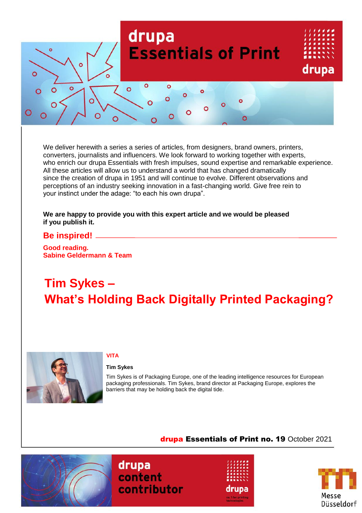

We deliver herewith a series a series of articles, from designers, brand owners, printers, converters, journalists and influencers. We look forward to working together with experts, who enrich our drupa Essentials with fresh impulses, sound expertise and remarkable experience. All these articles will allow us to understand a world that has changed dramatically since the creation of drupa in 1951 and will continue to evolve. Different observations and perceptions of an industry seeking innovation in a fast-changing world. Give free rein to your instinct under the adage: "to each his own drupa".

### **We are happy to provide you with this expert article and we would be pleased if you publish it.**

### **Be inspired!**

**Good reading. Sabine Geldermann & Team**

# **Tim Sykes – What's Holding Back Digitally Printed Packaging?**



### **VITA**

### **Tim Sykes**

Tim Sykes is of Packaging Europe, one of the leading intelligence resources for European packaging professionals. Tim Sykes, brand director at Packaging Europe, explores the barriers that may be holding back the digital tide.

## drupa Essentials of Print no. 19 October 2021







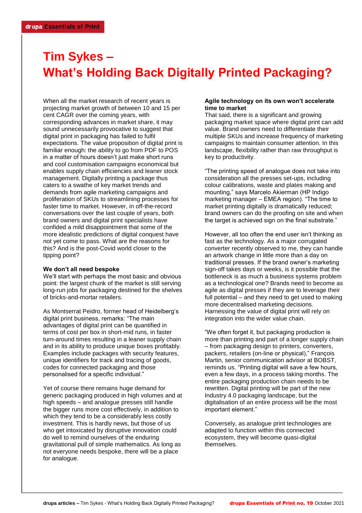## **Tim Sykes – What's Holding Back Digitally Printed Packaging?**

When all the market research of recent years is projecting market growth of between 10 and 15 per cent CAGR over the coming years, with corresponding advances in market share, it may sound unnecessarily provocative to suggest that digital print in packaging has failed to fulfil expectations. The value proposition of digital print is familiar enough: the ability to go from PDF to POS in a matter of hours doesn't just make short runs and cool customisation campaigns economical but enables supply chain efficiencies and leaner stock management. Digitally printing a package thus caters to a swathe of key market trends and demands from agile marketing campaigns and proliferation of SKUs to streamlining processes for faster time to market. However, in off-the-record conversations over the last couple of years, both brand owners and digital print specialists have confided a mild disappointment that some of the more idealistic predictions of digital conquest have not yet come to pass. What are the reasons for this? And is the post-Covid world closer to the tipping point?

### **We don't all need bespoke**

We'll start with perhaps the most basic and obvious point: the largest chunk of the market is still serving long-run jobs for packaging destined for the shelves of bricks-and-mortar retailers.

As Montserrat Peidro, former head of Heidelberg's digital print business, remarks: "The main advantages of digital print can be quantified in terms of cost per box in short-mid runs, in faster turn-around times resulting in a leaner supply chain and in its ability to produce unique boxes profitably. Examples include packages with security features, unique identifiers for track and tracing of goods, codes for connected packaging and those personalised for a specific individual."

Yet of course there remains huge demand for generic packaging produced in high volumes and at high speeds – and analogue presses still handle the bigger runs more cost effectively, in addition to which they tend to be a considerably less costly investment. This is hardly news, but those of us who get intoxicated by disruptive innovation could do well to remind ourselves of the enduring gravitational pull of simple mathematics. As long as not everyone needs bespoke, there will be a place for analogue.

### **Agile technology on its own won't accelerate time to market**

That said, there is a significant and growing packaging market space where digital print can add value. Brand owners need to differentiate their multiple SKUs and increase frequency of marketing campaigns to maintain consumer attention. In this landscape, flexibility rather than raw throughput is key to productivity.

"The printing speed of analogue does not take into consideration all the presses set-ups, including colour calibrations, waste and plates making and mounting," says Marcelo Akierman (HP Indigo marketing manager – EMEA region). "The time to market printing digitally is dramatically reduced; brand owners can do the proofing on site and when the target is achieved sign on the final substrate."

However, all too often the end user isn't thinking as fast as the technology. As a major corrugated converter recently observed to me, they can handle an artwork change in little more than a day on traditional presses. If the brand owner's marketing sign-off takes days or weeks, is it possible that the bottleneck is as much a business systems problem as a technological one? Brands need to become as agile as digital presses if they are to leverage their full potential – and they need to get used to making more decentralised marketing decisions. Harnessing the value of digital print will rely on integration into the wider value chain.

"We often forget it, but packaging production is more than printing and part of a longer supply chain – from packaging design to printers, converters, packers, retailers (on-line or physical)," François Martin, senior communication advisor at BOBST, reminds us. "Printing digital will save a few hours, even a few days, in a process taking months. The entire packaging production chain needs to be rewritten. Digital printing will be part of the new Industry 4.0 packaging landscape, but the digitalisation of an entire process will be the most important element."

Conversely, as analogue print technologies are adapted to function within this connected ecosystem, they will become quasi-digital themselves.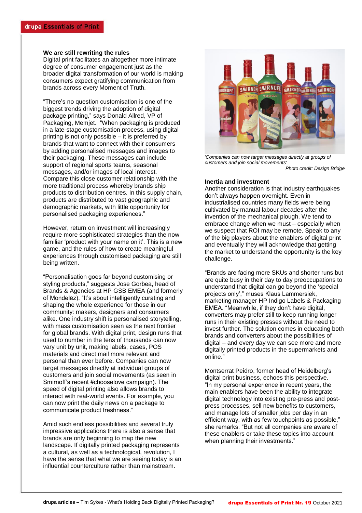### **We are still rewriting the rules**

Digital print facilitates an altogether more intimate degree of consumer engagement just as the broader digital transformation of our world is making consumers expect gratifying communication from brands across every Moment of Truth.

"There's no question customisation is one of the biggest trends driving the adoption of digital package printing," says Donald Allred, VP of Packaging, Memjet. "When packaging is produced in a late-stage customisation process, using digital printing is not only possible – it is preferred by brands that want to connect with their consumers by adding personalised messages and images to their packaging. These messages can include support of regional sports teams, seasonal messages, and/or images of local interest. Compare this close customer relationship with the more traditional process whereby brands ship products to distribution centres. In this supply chain, products are distributed to vast geographic and demographic markets, with little opportunity for personalised packaging experiences."

However, return on investment will increasingly require more sophisticated strategies than the now familiar 'product with your name on it'. This is a new game, and the rules of how to create meaningful experiences through customised packaging are still being written.

"Personalisation goes far beyond customising or styling products," suggests Jose Gorbea, head of Brands & Agencies at HP GSB EMEA (and formerly of Mondelēz). "It's about intelligently curating and shaping the whole experience for those in our community: makers, designers and consumers alike. One industry shift is personalised storytelling, with mass customisation seen as the next frontier for global brands. With digital print, design runs that used to number in the tens of thousands can now vary unit by unit, making labels, cases, POS materials and direct mail more relevant and personal than ever before. Companies can now target messages directly at individual groups of customers and join social movements (as seen in Smirnoff's recent #chooselove campaign). The speed of digital printing also allows brands to interact with real-world events. For example, you can now print the daily news on a package to communicate product freshness."

Amid such endless possibilities and several truly impressive applications there is also a sense that brands are only beginning to map the new landscape. If digitally printed packaging represents a cultural, as well as a technological, revolution, I have the sense that what we are seeing today is an influential counterculture rather than mainstream.



*'Companies can now target messages directly at groups of customers and join social movements' Photo credit: Design Bridge*

#### **Inertia and investment**

Another consideration is that industry earthquakes don't always happen overnight. Even in industrialised countries many fields were being cultivated by manual labour decades after the invention of the mechanical plough. We tend to embrace change when we must – especially when we suspect that ROI may be remote. Speak to any of the big players about the enablers of digital print and eventually they will acknowledge that getting the market to understand the opportunity is the key challenge.

"Brands are facing more SKUs and shorter runs but are quite busy in their day to day preoccupations to understand that digital can go beyond the 'special projects only'," muses Klaus Lammersiek, marketing manager HP Indigo Labels & Packaging EMEA. "Meanwhile, if they don't have digital, converters may prefer still to keep running longer runs in their existing presses without the need to invest further. The solution comes in educating both brands and converters about the possibilities of digital – and every day we can see more and more digitally printed products in the supermarkets and online."

Montserrat Peidro, former head of Heidelberg's digital print business, echoes this perspective. "In my personal experience in recent years, the main enablers have been the ability to integrate digital technology into existing pre-press and postpress processes, sell new benefits to customers, and manage lots of smaller jobs per day in an efficient way, with as few touchpoints as possible," she remarks. "But not all companies are aware of these enablers or take these topics into account when planning their investments."